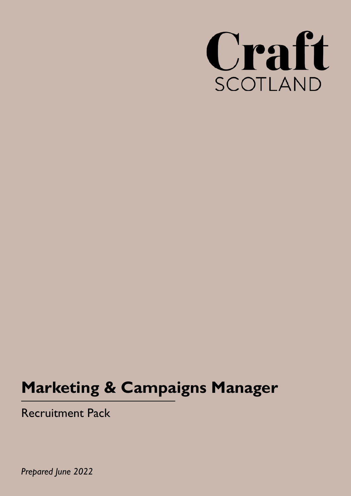

# **Marketing & Campaigns Manager**

Recruitment Pack

*Prepared June 2022*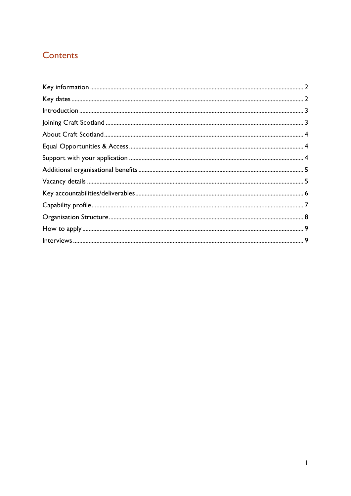## Contents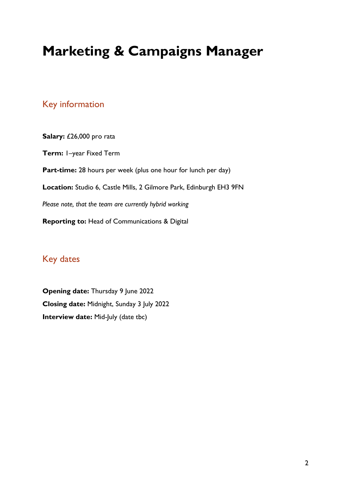## **Marketing & Campaigns Manager**

## <span id="page-2-0"></span>Key information

Salary: £26,000 pro rata **Term:** 1–year Fixed Term Part-time: 28 hours per week (plus one hour for lunch per day) **Location:** Studio 6, Castle Mills, 2 Gilmore Park, Edinburgh EH3 9FN *Please note, that the team are currently hybrid working* **Reporting to:** Head of Communications & Digital

## <span id="page-2-1"></span>Key dates

**Opening date: Thursday 9 June 2022 Closing date:** Midnight, Sunday 3 July 2022 **Interview date:** Mid-July (date tbc)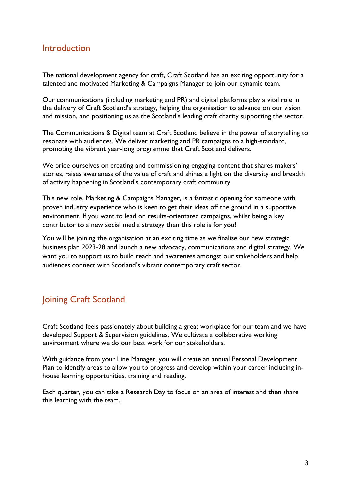### <span id="page-3-0"></span>Introduction

The national development agency for craft, Craft Scotland has an exciting opportunity for a talented and motivated Marketing & Campaigns Manager to join our dynamic team.

Our communications (including marketing and PR) and digital platforms play a vital role in the delivery of Craft Scotland's strategy, helping the organisation to advance on our vision and mission, and positioning us as the Scotland's leading craft charity supporting the sector.

The Communications & Digital team at Craft Scotland believe in the power of storytelling to resonate with audiences. We deliver marketing and PR campaigns to a high-standard, promoting the vibrant year-long programme that Craft Scotland delivers.

We pride ourselves on creating and commissioning engaging content that shares makers' stories, raises awareness of the value of craft and shines a light on the diversity and breadth of activity happening in Scotland's contemporary craft community.

This new role, Marketing & Campaigns Manager, is a fantastic opening for someone with proven industry experience who is keen to get their ideas off the ground in a supportive environment. If you want to lead on results-orientated campaigns, whilst being a key contributor to a new social media strategy then this role is for you!

You will be joining the organisation at an exciting time as we finalise our new strategic business plan 2023-28 and launch a new advocacy, communications and digital strategy. We want you to support us to build reach and awareness amongst our stakeholders and help audiences connect with Scotland's vibrant contemporary craft sector.

## <span id="page-3-1"></span>Joining Craft Scotland

Craft Scotland feels passionately about building a great workplace for our team and we have developed Support & Supervision guidelines. We cultivate a collaborative working environment where we do our best work for our stakeholders.

With guidance from your Line Manager, you will create an annual Personal Development Plan to identify areas to allow you to progress and develop within your career including inhouse learning opportunities, training and reading.

Each quarter, you can take a Research Day to focus on an area of interest and then share this learning with the team.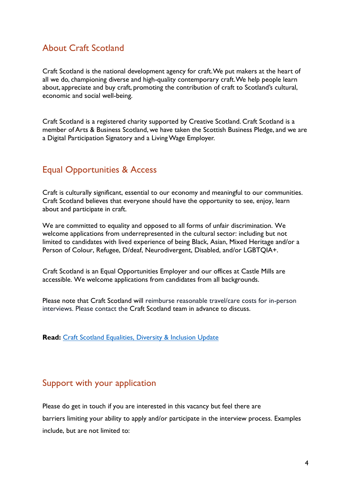## <span id="page-4-0"></span>About Craft Scotland

Craft Scotland is the national development agency for craft. We put makers at the heart of all we do, championing diverse and high-quality contemporary craft. We help people learn about, appreciate and buy craft, promoting the contribution of craft to Scotland's cultural, economic and social well-being.

Craft Scotland is a registered charity supported by Creative Scotland. Craft Scotland is a member of Arts & Business Scotland, we have taken the Scottish Business Pledge, and we are a Digital Participation Signatory and a Living Wage Employer.

## <span id="page-4-1"></span>Equal Opportunities & Access

Craft is culturally significant, essential to our economy and meaningful to our communities. Craft Scotland believes that everyone should have the opportunity to see, enjoy, learn about and participate in craft.

We are committed to equality and opposed to all forms of unfair discrimination. We welcome applications from underrepresented in the cultural sector: including but not limited to candidates with lived experience of being Black, Asian, Mixed Heritage and/or a Person of Colour, Refugee, D/deaf, Neurodivergent, Disabled, and/or LGBTQIA+.

Craft Scotland is an Equal Opportunities Employer and our offices at Castle Mills are accessible. We welcome applications from candidates from all backgrounds.

Please note that Craft Scotland will reimburse reasonable travel/care costs for in-person interviews. Please contact the Craft Scotland team in advance to discuss.

**Read:** [Craft Scotland Equalities, Diversity & Inclusion Update](https://www.craftscotland.org/journal/article/EDI-action-Nov-2021)

## <span id="page-4-2"></span>Support with your application

Please do get in touch if you are interested in this vacancy but feel there are barriers limiting your ability to apply and/or participate in the interview process. Examples include, but are not limited to: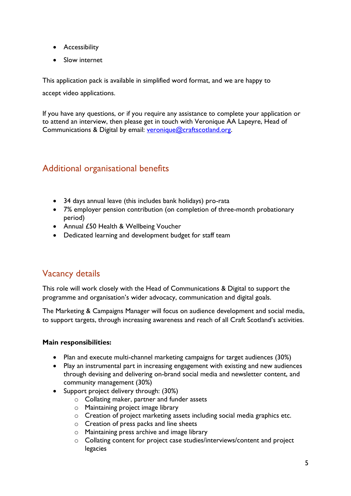- Accessibility
- Slow internet

This application pack is available in simplified word format, and we are happy to

accept video applications.

If you have any questions, or if you require any assistance to complete your application or to attend an interview, then please get in touch with Veronique AA Lapeyre, Head of Communications & Digital by email: [veronique@craftscotland.org.](mailto:veronique@craftscotland.org)

## <span id="page-5-0"></span>Additional organisational benefits

- 34 days annual leave (this includes bank holidays) pro-rata
- 7% employer pension contribution (on completion of three-month probationary period)
- Annual £50 Health & Wellbeing Voucher
- Dedicated learning and development budget for staff team

## <span id="page-5-1"></span>Vacancy details

This role will work closely with the Head of Communications & Digital to support the programme and organisation's wider advocacy, communication and digital goals.

The Marketing & Campaigns Manager will focus on audience development and social media, to support targets, through increasing awareness and reach of all Craft Scotland's activities.

#### **Main responsibilities:**

- Plan and execute multi-channel marketing campaigns for target audiences (30%)
- Play an instrumental part in increasing engagement with existing and new audiences through devising and delivering on-brand social media and newsletter content, and community management (30%)
- Support project delivery through: (30%)
	- o Collating maker, partner and funder assets
	- o Maintaining project image library
	- o Creation of project marketing assets including social media graphics etc.
	- o Creation of press packs and line sheets
	- o Maintaining press archive and image library
	- o Collating content for project case studies/interviews/content and project legacies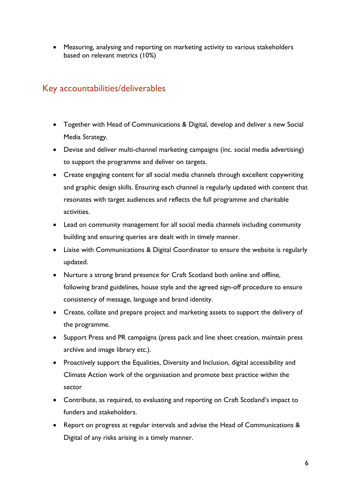• Measuring, analysing and reporting on marketing activity to various stakeholders based on relevant metrics (10%)

## <span id="page-6-0"></span>Key accountabilities/deliverables

- Together with Head of Communications & Digital, develop and deliver a new Social Media Strategy.
- Devise and deliver multi-channel marketing campaigns (inc. social media advertising) to support the programme and deliver on targets.
- Create engaging content for all social media channels through excellent copywriting and graphic design skills. Ensuring each channel is regularly updated with content that resonates with target audiences and reflects the full programme and charitable activities.
- Lead on community management for all social media channels including community building and ensuring queries are dealt with in timely manner.
- Liaise with Communications & Digital Coordinator to ensure the website is regularly updated.
- Nurture a strong brand presence for Craft Scotland both online and offline, following brand guidelines, house style and the agreed sign-off procedure to ensure consistency of message, language and brand identity.
- Create, collate and prepare project and marketing assets to support the delivery of the programme.
- Support Press and PR campaigns (press pack and line sheet creation, maintain press archive and image library etc.).
- Proactively support the Equalities, Diversity and Inclusion, digital accessibility and Climate Action work of the organisation and promote best practice within the sector
- Contribute, as required, to evaluating and reporting on Craft Scotland's impact to funders and stakeholders.
- Report on progress at regular intervals and advise the Head of Communications & Digital of any risks arising in a timely manner.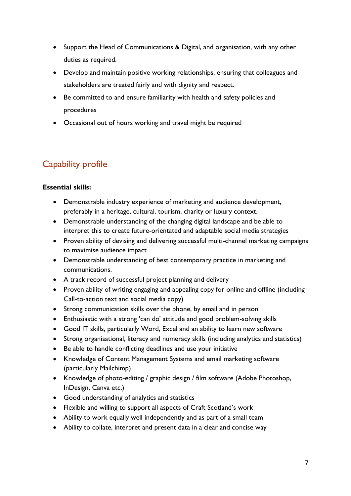- Support the Head of Communications & Digital, and organisation, with any other duties as required.
- Develop and maintain positive working relationships, ensuring that colleagues and stakeholders are treated fairly and with dignity and respect.
- Be committed to and ensure familiarity with health and safety policies and procedures
- Occasional out of hours working and travel might be required

## <span id="page-7-0"></span>Capability profile

#### **Essential skills:**

- Demonstrable industry experience of marketing and audience development, preferably in a heritage, cultural, tourism, charity or luxury context.
- Demonstrable understanding of the changing digital landscape and be able to interpret this to create future-orientated and adaptable social media strategies
- Proven ability of devising and delivering successful multi-channel marketing campaigns to maximise audience impact
- Demonstrable understanding of best contemporary practice in marketing and communications.
- A track record of successful project planning and delivery
- Proven ability of writing engaging and appealing copy for online and offline (including Call-to-action text and social media copy)
- Strong communication skills over the phone, by email and in person
- Enthusiastic with a strong 'can do' attitude and good problem-solving skills
- Good IT skills, particularly Word, Excel and an ability to learn new software
- Strong organisational, literacy and numeracy skills (including analytics and statistics)
- Be able to handle conflicting deadlines and use your initiative
- Knowledge of Content Management Systems and email marketing software (particularly Mailchimp)
- Knowledge of photo-editing / graphic design / film software (Adobe Photoshop, InDesign, Canva etc.)
- Good understanding of analytics and statistics
- Flexible and willing to support all aspects of Craft Scotland's work
- Ability to work equally well independently and as part of a small team
- Ability to collate, interpret and present data in a clear and concise way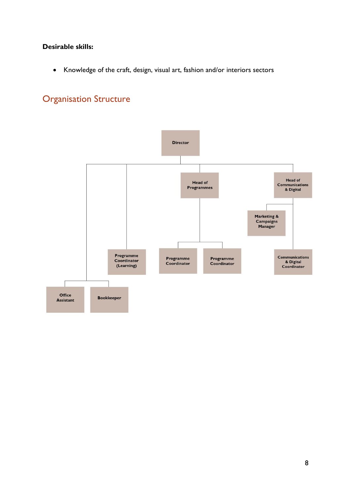#### **Desirable skills:**

• Knowledge of the craft, design, visual art, fashion and/or interiors sectors

## <span id="page-8-0"></span>Organisation Structure

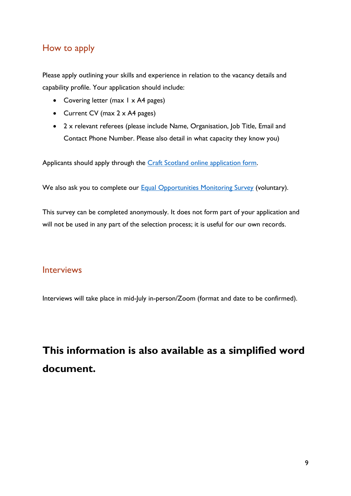## <span id="page-9-0"></span>How to apply

Please apply outlining your skills and experience in relation to the vacancy details and capability profile. Your application should include:

- Covering letter (max 1 x A4 pages)
- Current CV (max 2 x A4 pages)
- 2 x relevant referees (please include Name, Organisation, Job Title, Email and Contact Phone Number. Please also detail in what capacity they know you)

Applicants should apply through the [Craft Scotland online application form.](https://craftscot.wufoo.com/forms/x197e8mt1wjllsa/)

We also ask you to complete our **Equal Opportunities Monitoring Survey** (voluntary).

This survey can be completed anonymously. It does not form part of your application and will not be used in any part of the selection process; it is useful for our own records.

### <span id="page-9-1"></span>Interviews

Interviews will take place in mid-July in-person/Zoom (format and date to be confirmed).

## **This information is also available as a simplified word document.**